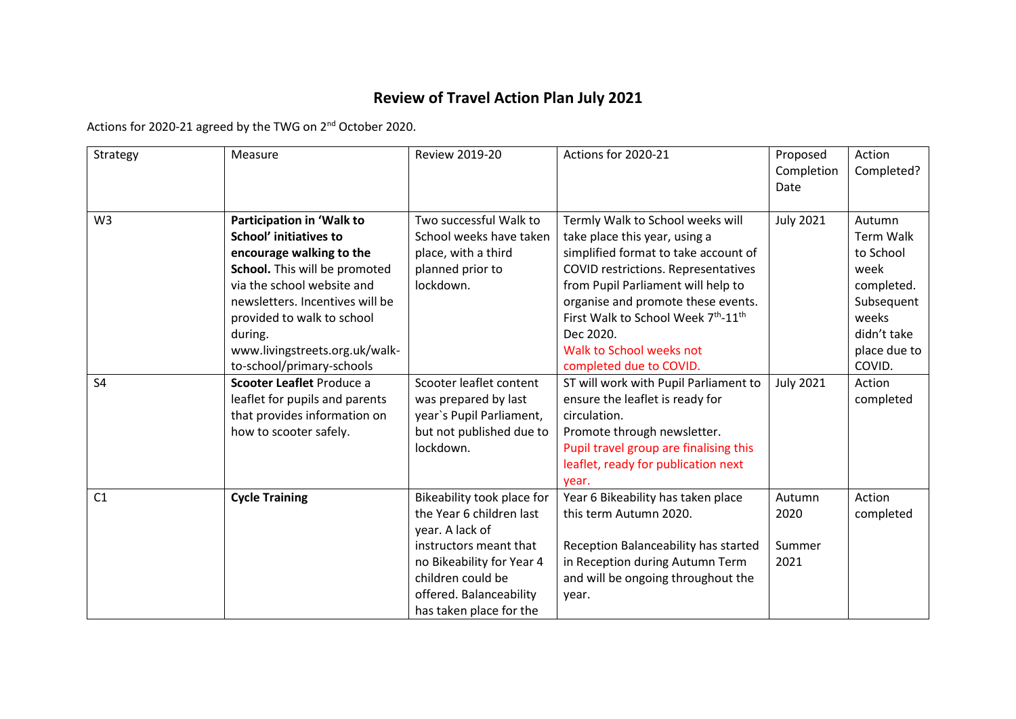## **Review of Travel Action Plan July 2021**

Actions for 2020-21 agreed by the TWG on 2nd October 2020.

| Strategy       | Measure                                                                                                                                                                                                                                                                                          | <b>Review 2019-20</b>                                                                                                                                                                                       | Actions for 2020-21                                                                                                                                                                                                                                                                                                                    | Proposed<br>Completion<br>Date   | Action<br>Completed?                                                                                                          |
|----------------|--------------------------------------------------------------------------------------------------------------------------------------------------------------------------------------------------------------------------------------------------------------------------------------------------|-------------------------------------------------------------------------------------------------------------------------------------------------------------------------------------------------------------|----------------------------------------------------------------------------------------------------------------------------------------------------------------------------------------------------------------------------------------------------------------------------------------------------------------------------------------|----------------------------------|-------------------------------------------------------------------------------------------------------------------------------|
| W <sub>3</sub> | Participation in 'Walk to<br><b>School' initiatives to</b><br>encourage walking to the<br>School. This will be promoted<br>via the school website and<br>newsletters. Incentives will be<br>provided to walk to school<br>during.<br>www.livingstreets.org.uk/walk-<br>to-school/primary-schools | Two successful Walk to<br>School weeks have taken<br>place, with a third<br>planned prior to<br>lockdown.                                                                                                   | Termly Walk to School weeks will<br>take place this year, using a<br>simplified format to take account of<br>COVID restrictions. Representatives<br>from Pupil Parliament will help to<br>organise and promote these events.<br>First Walk to School Week 7th-11th<br>Dec 2020.<br>Walk to School weeks not<br>completed due to COVID. | <b>July 2021</b>                 | Autumn<br><b>Term Walk</b><br>to School<br>week<br>completed.<br>Subsequent<br>weeks<br>didn't take<br>place due to<br>COVID. |
| S <sub>4</sub> | Scooter Leaflet Produce a<br>leaflet for pupils and parents<br>that provides information on<br>how to scooter safely.                                                                                                                                                                            | Scooter leaflet content<br>was prepared by last<br>year's Pupil Parliament,<br>but not published due to<br>lockdown.                                                                                        | ST will work with Pupil Parliament to<br>ensure the leaflet is ready for<br>circulation.<br>Promote through newsletter.<br>Pupil travel group are finalising this<br>leaflet, ready for publication next<br>year.                                                                                                                      | <b>July 2021</b>                 | Action<br>completed                                                                                                           |
| C1             | <b>Cycle Training</b>                                                                                                                                                                                                                                                                            | Bikeability took place for<br>the Year 6 children last<br>year. A lack of<br>instructors meant that<br>no Bikeability for Year 4<br>children could be<br>offered. Balanceability<br>has taken place for the | Year 6 Bikeability has taken place<br>this term Autumn 2020.<br>Reception Balanceability has started<br>in Reception during Autumn Term<br>and will be ongoing throughout the<br>year.                                                                                                                                                 | Autumn<br>2020<br>Summer<br>2021 | Action<br>completed                                                                                                           |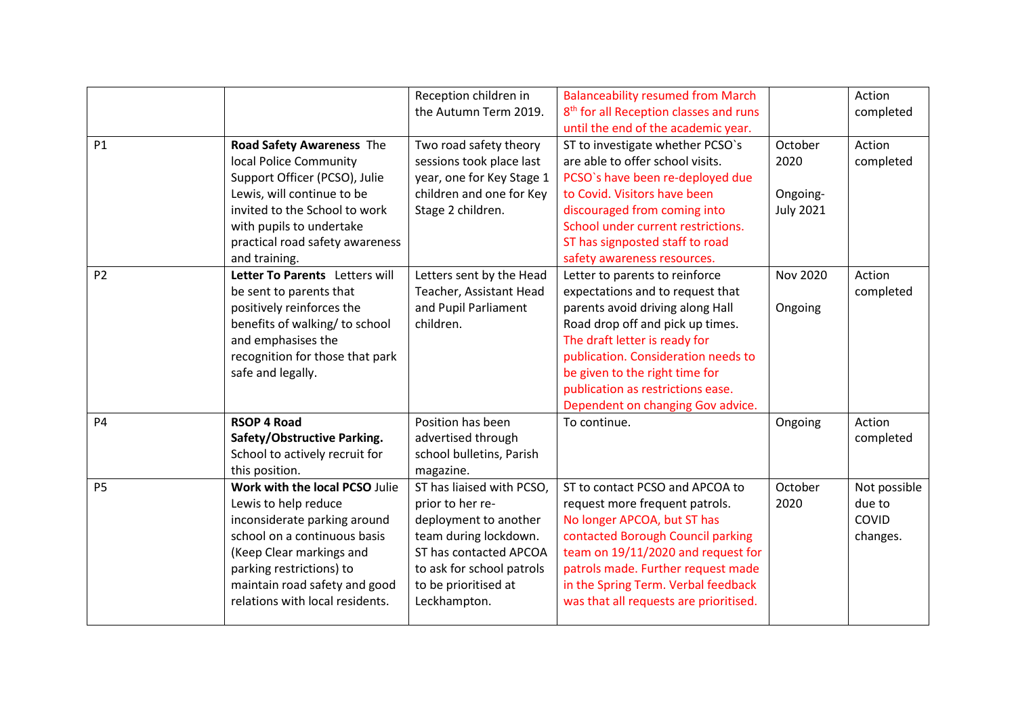|                |                                 | Reception children in     | <b>Balanceability resumed from March</b>           |                  | Action       |
|----------------|---------------------------------|---------------------------|----------------------------------------------------|------------------|--------------|
|                |                                 | the Autumn Term 2019.     | 8 <sup>th</sup> for all Reception classes and runs |                  | completed    |
|                |                                 |                           | until the end of the academic year.                |                  |              |
| <b>P1</b>      | Road Safety Awareness The       | Two road safety theory    | ST to investigate whether PCSO's                   | October          | Action       |
|                | local Police Community          | sessions took place last  | are able to offer school visits.                   | 2020             | completed    |
|                | Support Officer (PCSO), Julie   | year, one for Key Stage 1 | PCSO's have been re-deployed due                   |                  |              |
|                | Lewis, will continue to be      | children and one for Key  | to Covid. Visitors have been                       | Ongoing-         |              |
|                | invited to the School to work   | Stage 2 children.         | discouraged from coming into                       | <b>July 2021</b> |              |
|                | with pupils to undertake        |                           | School under current restrictions.                 |                  |              |
|                | practical road safety awareness |                           | ST has signposted staff to road                    |                  |              |
|                | and training.                   |                           | safety awareness resources.                        |                  |              |
| P <sub>2</sub> | Letter To Parents Letters will  | Letters sent by the Head  | Letter to parents to reinforce                     | <b>Nov 2020</b>  | Action       |
|                | be sent to parents that         | Teacher, Assistant Head   | expectations and to request that                   |                  | completed    |
|                | positively reinforces the       | and Pupil Parliament      | parents avoid driving along Hall                   | Ongoing          |              |
|                | benefits of walking/ to school  | children.                 | Road drop off and pick up times.                   |                  |              |
|                | and emphasises the              |                           | The draft letter is ready for                      |                  |              |
|                | recognition for those that park |                           | publication. Consideration needs to                |                  |              |
|                | safe and legally.               |                           | be given to the right time for                     |                  |              |
|                |                                 |                           | publication as restrictions ease.                  |                  |              |
|                |                                 |                           | Dependent on changing Gov advice.                  |                  |              |
| <b>P4</b>      | <b>RSOP 4 Road</b>              | Position has been         | To continue.                                       | Ongoing          | Action       |
|                | Safety/Obstructive Parking.     | advertised through        |                                                    |                  | completed    |
|                | School to actively recruit for  | school bulletins, Parish  |                                                    |                  |              |
|                | this position.                  | magazine.                 |                                                    |                  |              |
| <b>P5</b>      | Work with the local PCSO Julie  | ST has liaised with PCSO, | ST to contact PCSO and APCOA to                    | October          | Not possible |
|                | Lewis to help reduce            | prior to her re-          | request more frequent patrols.                     | 2020             | due to       |
|                | inconsiderate parking around    | deployment to another     | No longer APCOA, but ST has                        |                  | COVID        |
|                | school on a continuous basis    | team during lockdown.     | contacted Borough Council parking                  |                  | changes.     |
|                | (Keep Clear markings and        | ST has contacted APCOA    | team on 19/11/2020 and request for                 |                  |              |
|                | parking restrictions) to        | to ask for school patrols | patrols made. Further request made                 |                  |              |
|                | maintain road safety and good   | to be prioritised at      | in the Spring Term. Verbal feedback                |                  |              |
|                | relations with local residents. | Leckhampton.              | was that all requests are prioritised.             |                  |              |
|                |                                 |                           |                                                    |                  |              |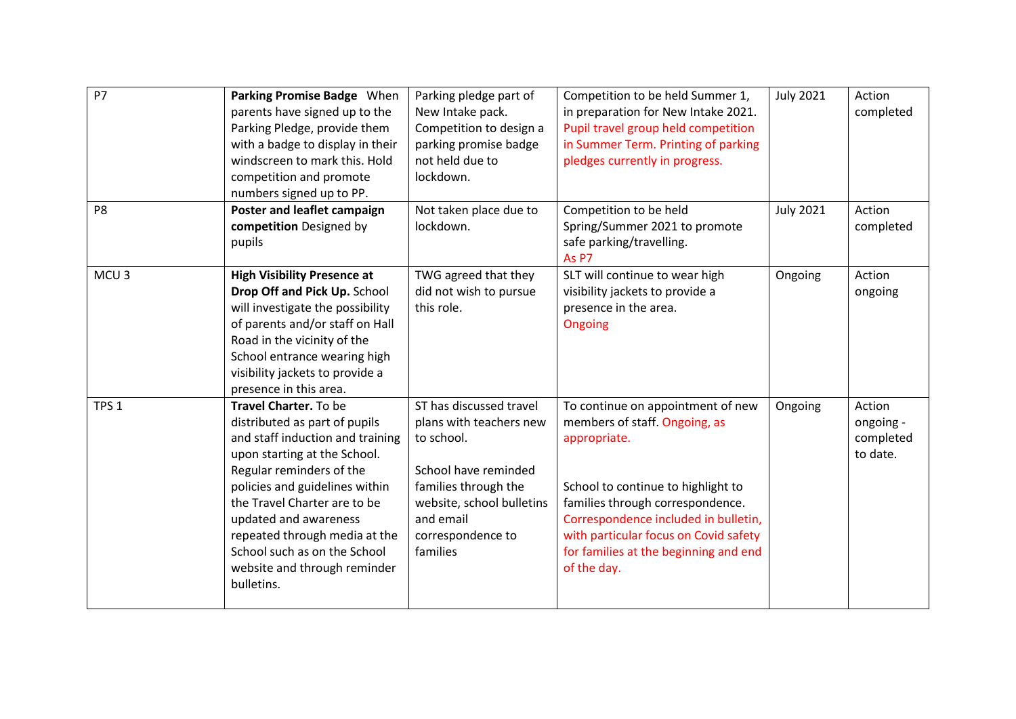| <b>P7</b>        | Parking Promise Badge When<br>parents have signed up to the<br>Parking Pledge, provide them<br>with a badge to display in their                                                                                                                                                                                                                                  | Parking pledge part of<br>New Intake pack.<br>Competition to design a<br>parking promise badge                                                                                              | Competition to be held Summer 1,<br>in preparation for New Intake 2021.<br>Pupil travel group held competition<br>in Summer Term. Printing of parking                                                                                                                                                 | <b>July 2021</b> | Action<br>completed                          |
|------------------|------------------------------------------------------------------------------------------------------------------------------------------------------------------------------------------------------------------------------------------------------------------------------------------------------------------------------------------------------------------|---------------------------------------------------------------------------------------------------------------------------------------------------------------------------------------------|-------------------------------------------------------------------------------------------------------------------------------------------------------------------------------------------------------------------------------------------------------------------------------------------------------|------------------|----------------------------------------------|
|                  | windscreen to mark this. Hold<br>competition and promote<br>numbers signed up to PP.                                                                                                                                                                                                                                                                             | not held due to<br>lockdown.                                                                                                                                                                | pledges currently in progress.                                                                                                                                                                                                                                                                        |                  |                                              |
| P <sub>8</sub>   | Poster and leaflet campaign<br>competition Designed by<br>pupils                                                                                                                                                                                                                                                                                                 | Not taken place due to<br>lockdown.                                                                                                                                                         | Competition to be held<br>Spring/Summer 2021 to promote<br>safe parking/travelling.<br>As P7                                                                                                                                                                                                          | <b>July 2021</b> | Action<br>completed                          |
| MCU <sub>3</sub> | <b>High Visibility Presence at</b><br>Drop Off and Pick Up. School<br>will investigate the possibility<br>of parents and/or staff on Hall<br>Road in the vicinity of the<br>School entrance wearing high<br>visibility jackets to provide a<br>presence in this area.                                                                                            | TWG agreed that they<br>did not wish to pursue<br>this role.                                                                                                                                | SLT will continue to wear high<br>visibility jackets to provide a<br>presence in the area.<br>Ongoing                                                                                                                                                                                                 | Ongoing          | Action<br>ongoing                            |
| TPS <sub>1</sub> | Travel Charter. To be<br>distributed as part of pupils<br>and staff induction and training<br>upon starting at the School.<br>Regular reminders of the<br>policies and guidelines within<br>the Travel Charter are to be<br>updated and awareness<br>repeated through media at the<br>School such as on the School<br>website and through reminder<br>bulletins. | ST has discussed travel<br>plans with teachers new<br>to school.<br>School have reminded<br>families through the<br>website, school bulletins<br>and email<br>correspondence to<br>families | To continue on appointment of new<br>members of staff. Ongoing, as<br>appropriate.<br>School to continue to highlight to<br>families through correspondence.<br>Correspondence included in bulletin,<br>with particular focus on Covid safety<br>for families at the beginning and end<br>of the day. | Ongoing          | Action<br>ongoing -<br>completed<br>to date. |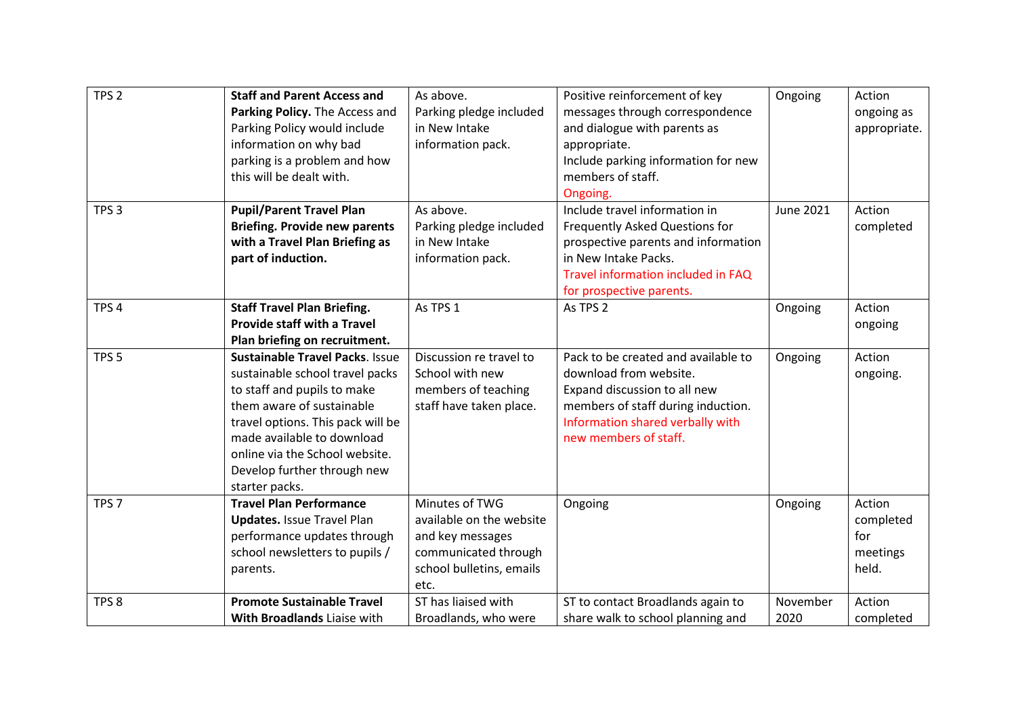| TPS <sub>2</sub> | <b>Staff and Parent Access and</b><br>Parking Policy. The Access and<br>Parking Policy would include<br>information on why bad<br>parking is a problem and how<br>this will be dealt with.                                                                                                  | As above.<br>Parking pledge included<br>in New Intake<br>information pack.                                                 | Positive reinforcement of key<br>messages through correspondence<br>and dialogue with parents as<br>appropriate.<br>Include parking information for new<br>members of staff.<br>Ongoing.         | Ongoing          | Action<br>ongoing as<br>appropriate.            |
|------------------|---------------------------------------------------------------------------------------------------------------------------------------------------------------------------------------------------------------------------------------------------------------------------------------------|----------------------------------------------------------------------------------------------------------------------------|--------------------------------------------------------------------------------------------------------------------------------------------------------------------------------------------------|------------------|-------------------------------------------------|
| TPS <sub>3</sub> | <b>Pupil/Parent Travel Plan</b><br><b>Briefing. Provide new parents</b><br>with a Travel Plan Briefing as<br>part of induction.                                                                                                                                                             | As above.<br>Parking pledge included<br>in New Intake<br>information pack.                                                 | Include travel information in<br>Frequently Asked Questions for<br>prospective parents and information<br>in New Intake Packs.<br>Travel information included in FAQ<br>for prospective parents. | <b>June 2021</b> | Action<br>completed                             |
| TPS <sub>4</sub> | <b>Staff Travel Plan Briefing.</b><br><b>Provide staff with a Travel</b><br>Plan briefing on recruitment.                                                                                                                                                                                   | As TPS 1                                                                                                                   | As TPS 2                                                                                                                                                                                         | Ongoing          | Action<br>ongoing                               |
| TPS <sub>5</sub> | <b>Sustainable Travel Packs. Issue</b><br>sustainable school travel packs<br>to staff and pupils to make<br>them aware of sustainable<br>travel options. This pack will be<br>made available to download<br>online via the School website.<br>Develop further through new<br>starter packs. | Discussion re travel to<br>School with new<br>members of teaching<br>staff have taken place.                               | Pack to be created and available to<br>download from website.<br>Expand discussion to all new<br>members of staff during induction.<br>Information shared verbally with<br>new members of staff. | Ongoing          | Action<br>ongoing.                              |
| TPS <sub>7</sub> | <b>Travel Plan Performance</b><br><b>Updates.</b> Issue Travel Plan<br>performance updates through<br>school newsletters to pupils /<br>parents.                                                                                                                                            | Minutes of TWG<br>available on the website<br>and key messages<br>communicated through<br>school bulletins, emails<br>etc. | Ongoing                                                                                                                                                                                          | Ongoing          | Action<br>completed<br>for<br>meetings<br>held. |
| TPS <sub>8</sub> | <b>Promote Sustainable Travel</b><br>With Broadlands Liaise with                                                                                                                                                                                                                            | ST has liaised with<br>Broadlands, who were                                                                                | ST to contact Broadlands again to<br>share walk to school planning and                                                                                                                           | November<br>2020 | Action<br>completed                             |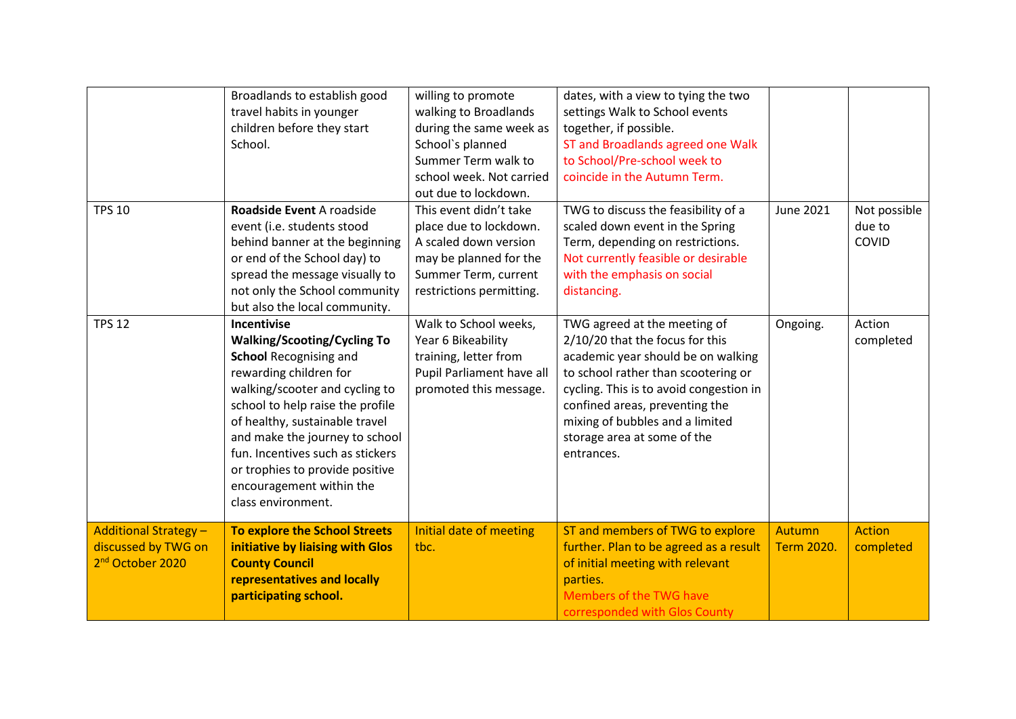|                              | Broadlands to establish good         | willing to promote        | dates, with a view to tying the two     |                   |               |
|------------------------------|--------------------------------------|---------------------------|-----------------------------------------|-------------------|---------------|
|                              | travel habits in younger             | walking to Broadlands     | settings Walk to School events          |                   |               |
|                              | children before they start           | during the same week as   | together, if possible.                  |                   |               |
|                              | School.                              | School's planned          | ST and Broadlands agreed one Walk       |                   |               |
|                              |                                      | Summer Term walk to       | to School/Pre-school week to            |                   |               |
|                              |                                      | school week. Not carried  | coincide in the Autumn Term.            |                   |               |
|                              |                                      | out due to lockdown.      |                                         |                   |               |
| <b>TPS 10</b>                | Roadside Event A roadside            | This event didn't take    | TWG to discuss the feasibility of a     | <b>June 2021</b>  | Not possible  |
|                              | event (i.e. students stood           | place due to lockdown.    | scaled down event in the Spring         |                   | due to        |
|                              | behind banner at the beginning       | A scaled down version     | Term, depending on restrictions.        |                   | COVID         |
|                              | or end of the School day) to         | may be planned for the    | Not currently feasible or desirable     |                   |               |
|                              | spread the message visually to       | Summer Term, current      | with the emphasis on social             |                   |               |
|                              | not only the School community        | restrictions permitting.  | distancing.                             |                   |               |
|                              | but also the local community.        |                           |                                         |                   |               |
| <b>TPS 12</b>                | <b>Incentivise</b>                   | Walk to School weeks,     | TWG agreed at the meeting of            | Ongoing.          | Action        |
|                              | <b>Walking/Scooting/Cycling To</b>   | Year 6 Bikeability        | 2/10/20 that the focus for this         |                   | completed     |
|                              | <b>School Recognising and</b>        | training, letter from     | academic year should be on walking      |                   |               |
|                              | rewarding children for               | Pupil Parliament have all | to school rather than scootering or     |                   |               |
|                              | walking/scooter and cycling to       | promoted this message.    | cycling. This is to avoid congestion in |                   |               |
|                              | school to help raise the profile     |                           | confined areas, preventing the          |                   |               |
|                              | of healthy, sustainable travel       |                           | mixing of bubbles and a limited         |                   |               |
|                              | and make the journey to school       |                           | storage area at some of the             |                   |               |
|                              | fun. Incentives such as stickers     |                           | entrances.                              |                   |               |
|                              | or trophies to provide positive      |                           |                                         |                   |               |
|                              | encouragement within the             |                           |                                         |                   |               |
|                              | class environment.                   |                           |                                         |                   |               |
|                              |                                      |                           |                                         |                   |               |
| <b>Additional Strategy -</b> | <b>To explore the School Streets</b> | Initial date of meeting   | ST and members of TWG to explore        | <b>Autumn</b>     | <b>Action</b> |
| discussed by TWG on          | initiative by liaising with Glos     | tbc.                      | further. Plan to be agreed as a result  | <b>Term 2020.</b> | completed     |
| 2 <sup>nd</sup> October 2020 | <b>County Council</b>                |                           | of initial meeting with relevant        |                   |               |
|                              | representatives and locally          |                           | parties.                                |                   |               |
|                              | participating school.                |                           | Members of the TWG have                 |                   |               |
|                              |                                      |                           | corresponded with Glos County           |                   |               |